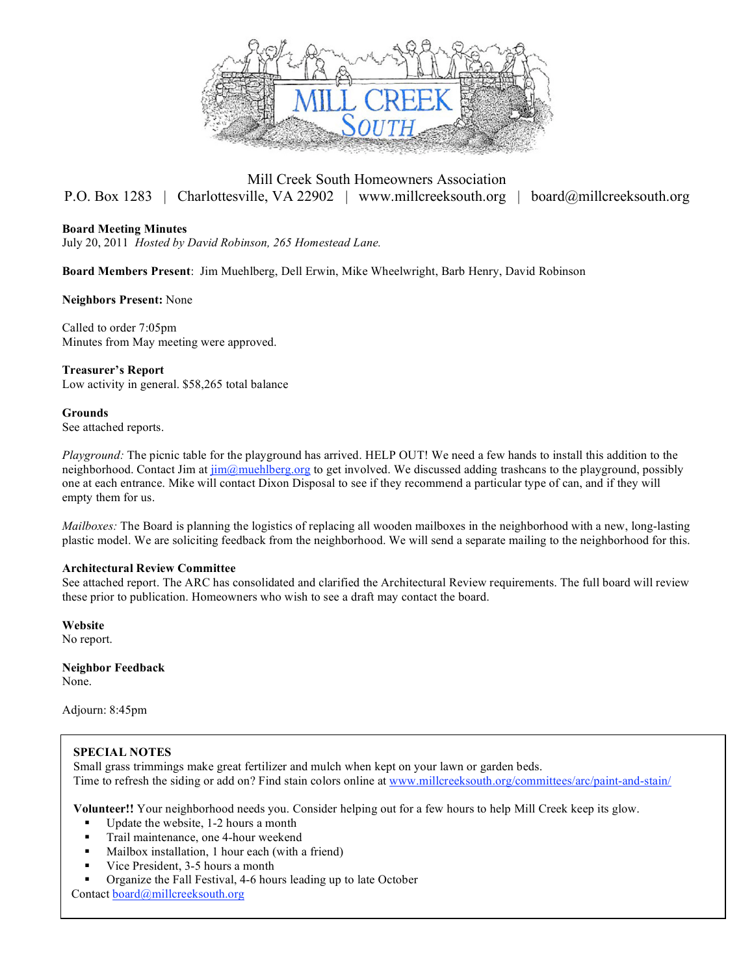

### Mill Creek South Homeowners Association P.O. Box 1283 | Charlottesville, VA 22902 | www.millcreeksouth.org | board@millcreeksouth.org

#### **Board Meeting Minutes**

July 20, 2011 *Hosted by David Robinson, 265 Homestead Lane.*

**Board Members Present**: Jim Muehlberg, Dell Erwin, Mike Wheelwright, Barb Henry, David Robinson

#### **Neighbors Present:** None

Called to order 7:05pm Minutes from May meeting were approved.

**Treasurer's Report** Low activity in general. \$58,265 total balance

**Grounds**  See attached reports.

*Playground:* The picnic table for the playground has arrived. HELP OUT! We need a few hands to install this addition to the neighborhood. Contact Jim at  $\lim_{m \to \infty}$  muehlberg.org to get involved. We discussed adding trashcans to the playground, possibly one at each entrance. Mike will contact Dixon Disposal to see if they recommend a particular type of can, and if they will empty them for us.

*Mailboxes:* The Board is planning the logistics of replacing all wooden mailboxes in the neighborhood with a new, long-lasting plastic model. We are soliciting feedback from the neighborhood. We will send a separate mailing to the neighborhood for this.

#### **Architectural Review Committee**

See attached report. The ARC has consolidated and clarified the Architectural Review requirements. The full board will review these prior to publication. Homeowners who wish to see a draft may contact the board.

**Website** No report.

**Neighbor Feedback** None.

Adjourn: 8:45pm

#### **SPECIAL NOTES**

Small grass trimmings make great fertilizer and mulch when kept on your lawn or garden beds. Time to refresh the siding or add on? Find stain colors online at www.millcreeksouth.org/committees/arc/paint-and-stain/

**Volunteer!!** Your neighborhood needs you. Consider helping out for a few hours to help Mill Creek keep its glow.

- Update the website, 1-2 hours a month
- Trail maintenance, one 4-hour weekend
- Mailbox installation, 1 hour each (with a friend)
- Vice President, 3-5 hours a month
- Organize the Fall Festival, 4-6 hours leading up to late October

Contact board@millcreeksouth.org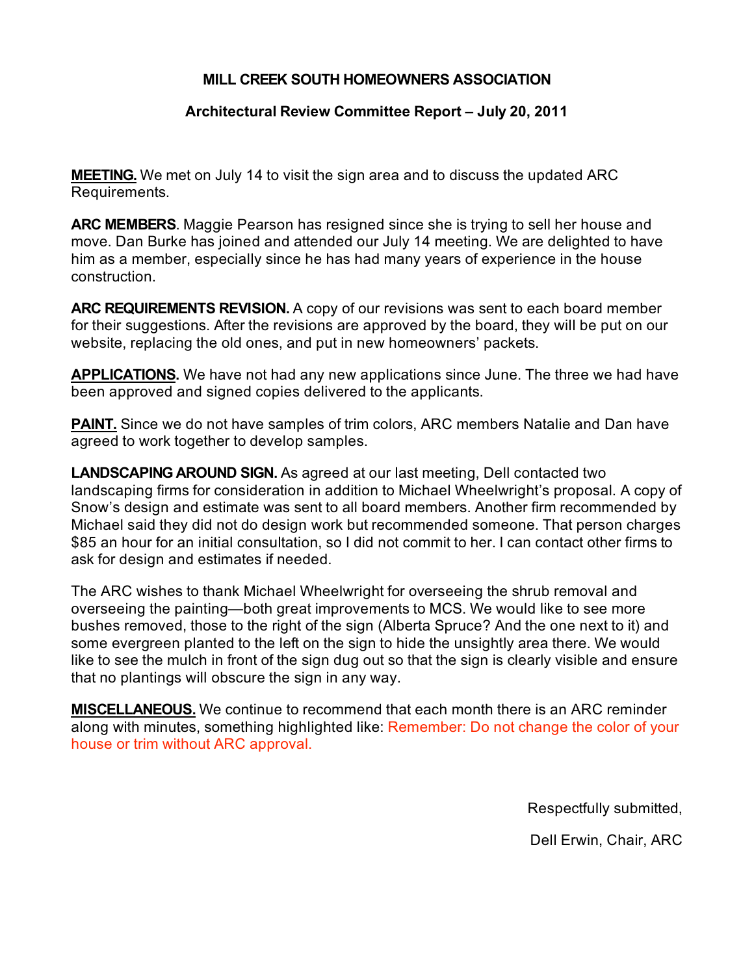### **MILL CREEK SOUTH HOMEOWNERS ASSOCIATION**

### **Architectural Review Committee Report – July 20, 2011**

**MEETING.** We met on July 14 to visit the sign area and to discuss the updated ARC Requirements.

**ARC MEMBERS**. Maggie Pearson has resigned since she is trying to sell her house and move. Dan Burke has joined and attended our July 14 meeting. We are delighted to have him as a member, especially since he has had many years of experience in the house construction.

**ARC REQUIREMENTS REVISION.** A copy of our revisions was sent to each board member for their suggestions. After the revisions are approved by the board, they will be put on our website, replacing the old ones, and put in new homeowners' packets.

**APPLICATIONS.** We have not had any new applications since June. The three we had have been approved and signed copies delivered to the applicants.

**PAINT.** Since we do not have samples of trim colors, ARC members Natalie and Dan have agreed to work together to develop samples.

**LANDSCAPING AROUND SIGN.** As agreed at our last meeting, Dell contacted two landscaping firms for consideration in addition to Michael Wheelwright's proposal. A copy of Snow's design and estimate was sent to all board members. Another firm recommended by Michael said they did not do design work but recommended someone. That person charges \$85 an hour for an initial consultation, so I did not commit to her. I can contact other firms to ask for design and estimates if needed.

The ARC wishes to thank Michael Wheelwright for overseeing the shrub removal and overseeing the painting—both great improvements to MCS. We would like to see more bushes removed, those to the right of the sign (Alberta Spruce? And the one next to it) and some evergreen planted to the left on the sign to hide the unsightly area there. We would like to see the mulch in front of the sign dug out so that the sign is clearly visible and ensure that no plantings will obscure the sign in any way.

**MISCELLANEOUS.** We continue to recommend that each month there is an ARC reminder along with minutes, something highlighted like: Remember: Do not change the color of your house or trim without ARC approval.

Respectfully submitted,

Dell Erwin, Chair, ARC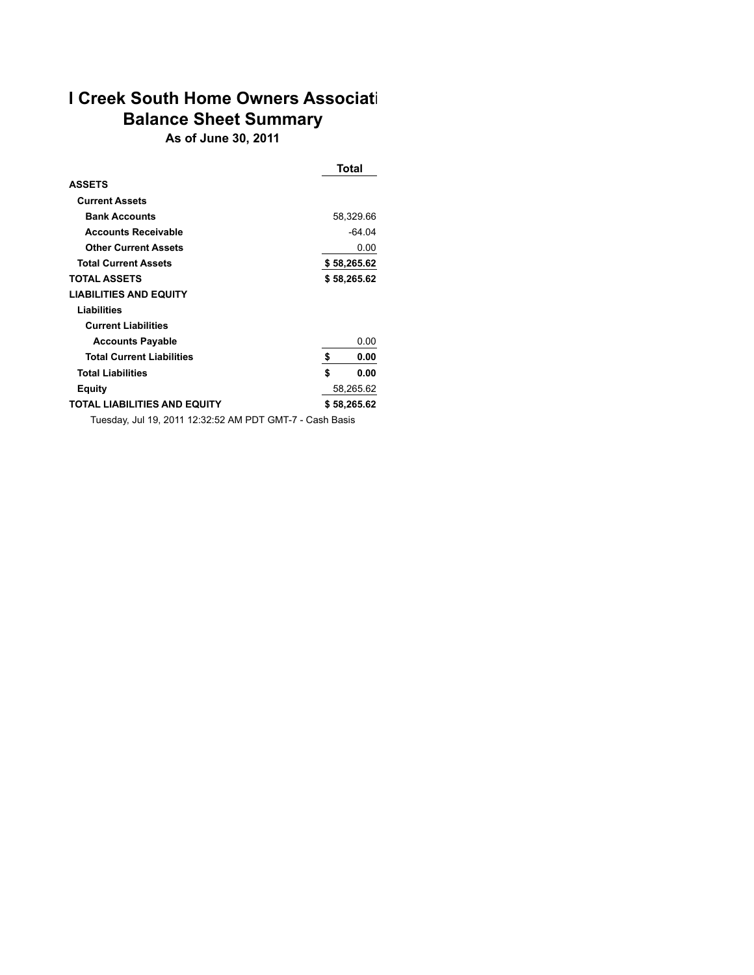# **I Creek South Home Owners Associati Balance Sheet Summary**

**As of June 30, 2011**

|                                                          |    | Total       |          |  |
|----------------------------------------------------------|----|-------------|----------|--|
| <b>ASSETS</b>                                            |    |             |          |  |
| <b>Current Assets</b>                                    |    |             |          |  |
| <b>Bank Accounts</b>                                     |    | 58,329.66   |          |  |
| <b>Accounts Receivable</b>                               |    |             | $-64.04$ |  |
| <b>Other Current Assets</b>                              |    |             | 0.00     |  |
| <b>Total Current Assets</b>                              |    | \$58,265.62 |          |  |
| <b>TOTAL ASSETS</b>                                      |    | \$58,265.62 |          |  |
| <b>LIABILITIES AND EQUITY</b>                            |    |             |          |  |
| Liabilities                                              |    |             |          |  |
| <b>Current Liabilities</b>                               |    |             |          |  |
| <b>Accounts Payable</b>                                  |    |             | 0.00     |  |
| <b>Total Current Liabilities</b>                         | \$ |             | 0.00     |  |
| <b>Total Liabilities</b>                                 | \$ |             | 0.00     |  |
| <b>Equity</b>                                            |    | 58,265.62   |          |  |
| <b>TOTAL LIABILITIES AND EQUITY</b>                      |    | \$58,265.62 |          |  |
| Tuesday, Jul 19, 2011 12:32:52 AM PDT GMT-7 - Cash Basis |    |             |          |  |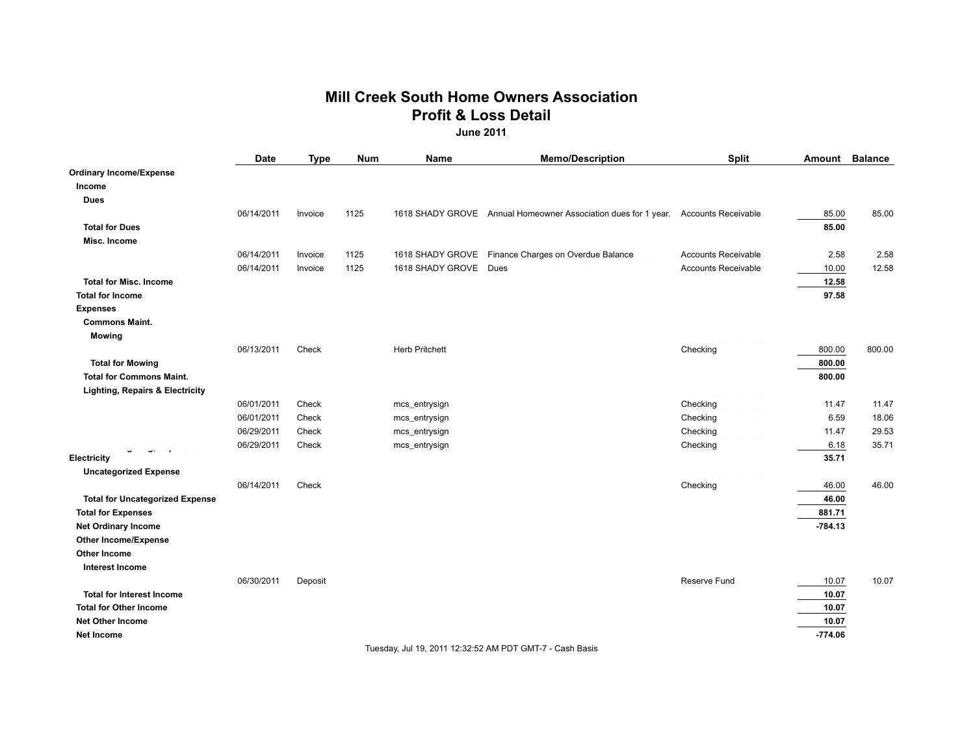### **Mill Creek South Home Owners Association Profit & Loss Detail June 2011**

|                                            | Date       | <b>Type</b> | <b>Num</b> | Name                    | <b>Memo/Description</b>                                                            | <b>Split</b>               | Amount    | <b>Balance</b> |
|--------------------------------------------|------------|-------------|------------|-------------------------|------------------------------------------------------------------------------------|----------------------------|-----------|----------------|
| <b>Ordinary Income/Expense</b>             |            |             |            |                         |                                                                                    |                            |           |                |
| Income                                     |            |             |            |                         |                                                                                    |                            |           |                |
| <b>Dues</b>                                |            |             |            |                         |                                                                                    |                            |           |                |
|                                            | 06/14/2011 | Invoice     | 1125       |                         | 1618 SHADY GROVE Annual Homeowner Association dues for 1 year. Accounts Receivable |                            | 85.00     | 85.00          |
| <b>Total for Dues</b>                      |            |             |            |                         |                                                                                    |                            | 85.00     |                |
| Misc. Income                               |            |             |            |                         |                                                                                    |                            |           |                |
|                                            | 06/14/2011 | Invoice     | 1125       |                         | 1618 SHADY GROVE Finance Charges on Overdue Balance                                | <b>Accounts Receivable</b> | 2.58      | 2.58           |
|                                            | 06/14/2011 | Invoice     | 1125       | 1618 SHADY GROVE Dues   |                                                                                    | Accounts Receivable        | 10.00     | 12.58          |
| <b>Total for Misc. Income</b>              |            |             |            |                         |                                                                                    |                            | 12.58     |                |
| <b>Total for Income</b>                    |            |             |            |                         |                                                                                    |                            | 97.58     |                |
| <b>Expenses</b>                            |            |             |            |                         |                                                                                    |                            |           |                |
| <b>Commons Maint.</b>                      |            |             |            |                         |                                                                                    |                            |           |                |
| <b>Mowing</b>                              |            |             |            |                         |                                                                                    |                            |           |                |
|                                            | 06/13/2011 | Check       |            | <b>Herb Pritchett</b>   |                                                                                    | Checking                   | 800.00    | 800.00         |
| <b>Total for Mowing</b>                    |            |             |            |                         |                                                                                    |                            | 800.00    |                |
| <b>Total for Commons Maint.</b>            |            |             |            |                         |                                                                                    |                            | 800.00    |                |
| <b>Lighting, Repairs &amp; Electricity</b> |            |             |            | $\equiv$ and $\equiv$ . |                                                                                    |                            |           |                |
|                                            | 06/01/2011 | Check       |            | mcs_entrysign           |                                                                                    | Checking                   | 11.47     | 11.47          |
|                                            | 06/01/2011 | Check       |            | mcs_entrysign           |                                                                                    | Checking                   | 6.59      | 18.06          |
|                                            | 06/29/2011 | Check       |            | mcs_entrysign           |                                                                                    | Checking                   | 11.47     | 29.53          |
|                                            | 06/29/2011 | Check       |            | mcs_entrysign           |                                                                                    | Checking                   | 6.18      | 35.71          |
| Electricity                                |            |             |            |                         |                                                                                    |                            | 35.71     |                |
| <b>Uncategorized Expense</b>               |            |             |            |                         |                                                                                    | $\frac{1}{2}$              |           |                |
|                                            | 06/14/2011 | Check       |            |                         |                                                                                    | Checking                   | 46.00     | 46.00          |
| <b>Total for Uncategorized Expense</b>     |            |             |            |                         |                                                                                    |                            | 46.00     |                |
| <b>Total for Expenses</b>                  |            |             |            |                         |                                                                                    |                            | 881.71    |                |
| <b>Net Ordinary Income</b>                 |            |             |            |                         |                                                                                    |                            | $-784.13$ |                |
| <b>Other Income/Expense</b>                |            |             |            |                         |                                                                                    |                            |           |                |
| Other Income                               |            |             |            |                         |                                                                                    |                            |           |                |
| <b>Interest Income</b>                     |            |             |            |                         |                                                                                    |                            |           |                |
|                                            | 06/30/2011 | Deposit     |            |                         |                                                                                    | <b>Reserve Fund</b>        | 10.07     | 10.07          |
| <b>Total for Interest Income</b>           |            |             |            |                         |                                                                                    |                            | 10.07     |                |
| <b>Total for Other Income</b>              |            |             |            |                         |                                                                                    |                            | 10.07     |                |
| Net Other Income                           |            |             |            |                         |                                                                                    |                            | 10.07     |                |
| Net Income                                 |            |             |            |                         |                                                                                    |                            | $-774.06$ |                |

Tuesday, Jul 19, 2011 12:32:52 AM PDT GMT-7 - Cash Basis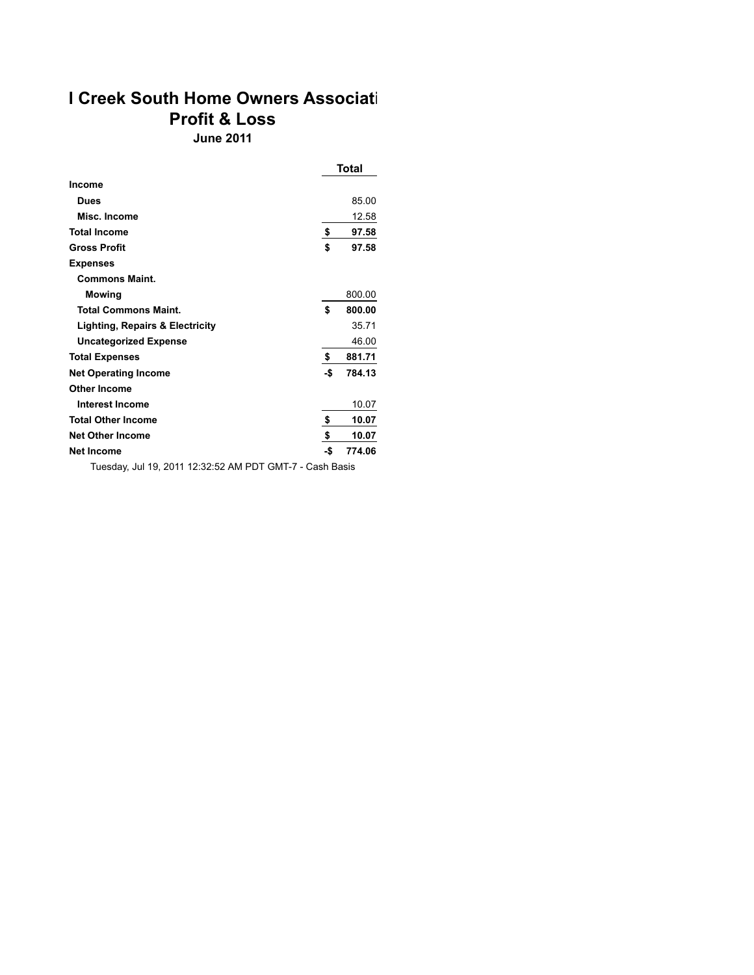# **I Creek South Home Owners Associati Profit & Loss June 2011**

|                                 |     | <b>Total</b> |
|---------------------------------|-----|--------------|
| <b>Income</b>                   |     |              |
| Dues                            |     | 85.00        |
| Misc. Income                    |     | 12.58        |
| <b>Total Income</b>             | \$  | 97.58        |
| <b>Gross Profit</b>             | \$  | 97.58        |
| <b>Expenses</b>                 |     |              |
| <b>Commons Maint.</b>           |     |              |
| Mowing                          |     | 800.00       |
| <b>Total Commons Maint.</b>     | \$  | 800.00       |
| Lighting, Repairs & Electricity |     | 35.71        |
| <b>Uncategorized Expense</b>    |     | 46.00        |
| <b>Total Expenses</b>           | \$  | 881.71       |
| <b>Net Operating Income</b>     | -\$ | 784.13       |
| <b>Other Income</b>             |     |              |
| <b>Interest Income</b>          |     | 10.07        |
| <b>Total Other Income</b>       | \$  | 10.07        |
| <b>Net Other Income</b>         | \$  | 10.07        |
| <b>Net Income</b>               | -\$ | 774.06       |

Tuesday, Jul 19, 2011 12:32:52 AM PDT GMT-7 - Cash Basis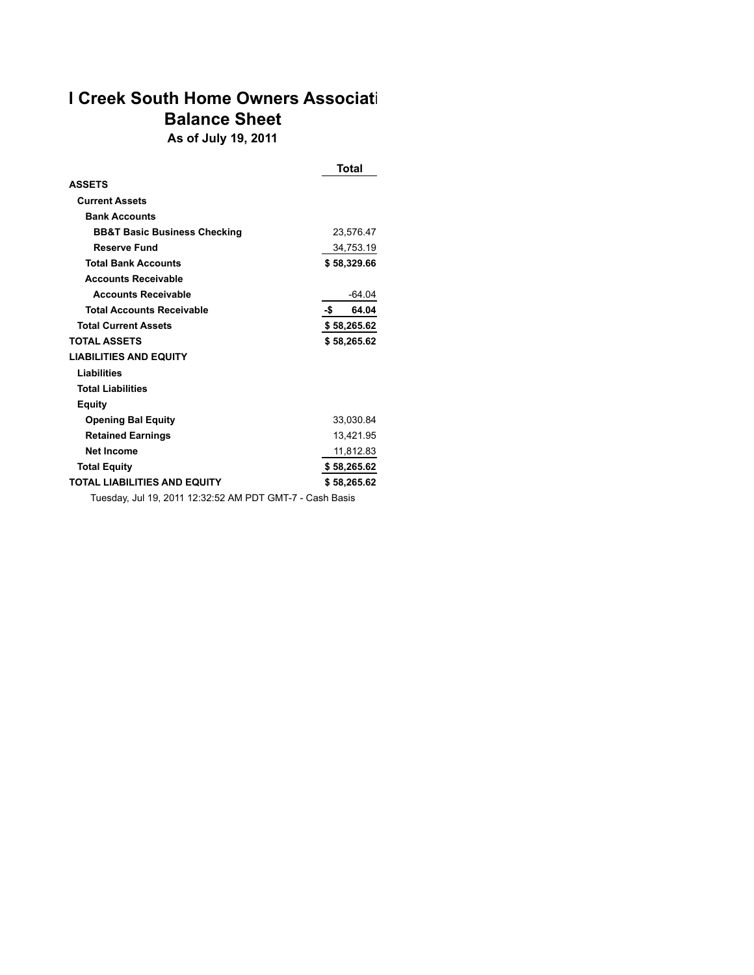# **I Creek South Home Owners Associati Balance Sheet As of July 19, 2011**

|                                                          | Total        |
|----------------------------------------------------------|--------------|
| <b>ASSETS</b>                                            |              |
| <b>Current Assets</b>                                    |              |
| <b>Bank Accounts</b>                                     |              |
| <b>BB&amp;T Basic Business Checking</b>                  | 23,576.47    |
| <b>Reserve Fund</b>                                      | 34,753.19    |
| <b>Total Bank Accounts</b>                               | \$58,329.66  |
| <b>Accounts Receivable</b>                               |              |
| <b>Accounts Receivable</b>                               | -64.04       |
| <b>Total Accounts Receivable</b>                         | -\$<br>64.04 |
| <b>Total Current Assets</b>                              | \$58,265.62  |
| <b>TOTAL ASSETS</b>                                      | \$58,265.62  |
| <b>LIABILITIES AND EQUITY</b>                            |              |
| Liabilities                                              |              |
| <b>Total Liabilities</b>                                 |              |
| <b>Equity</b>                                            |              |
| <b>Opening Bal Equity</b>                                | 33,030.84    |
| <b>Retained Earnings</b>                                 | 13,421.95    |
| <b>Net Income</b>                                        | 11,812.83    |
| <b>Total Equity</b>                                      | \$58,265.62  |
| <b>TOTAL LIABILITIES AND EQUITY</b>                      | \$58,265.62  |
| Tuesday, Jul 19, 2011 12:32:52 AM PDT GMT-7 - Cash Basis |              |